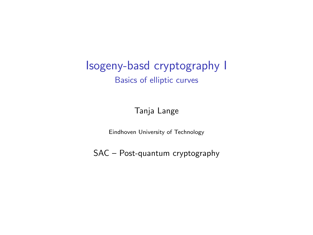#### Isogeny-basd cryptography I Basics of elliptic curves

#### Tanja Lange

Eindhoven University of Technology

SAC – Post-quantum cryptography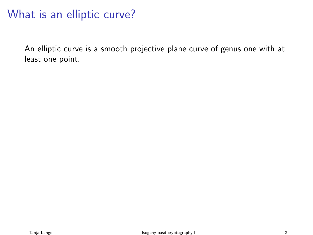## What is an elliptic curve?

An elliptic curve is a smooth projective plane curve of genus one with at least one point.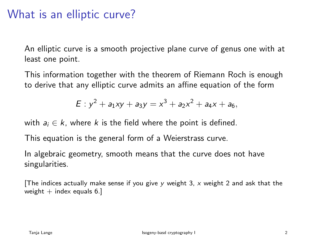## What is an elliptic curve?

An elliptic curve is a smooth projective plane curve of genus one with at least one point.

This information together with the theorem of Riemann Roch is enough to derive that any elliptic curve admits an affine equation of the form

$$
E: y^2 + a_1xy + a_3y = x^3 + a_2x^2 + a_4x + a_6,
$$

with  $a_i \in k$ , where k is the field where the point is defined.

This equation is the general form of a Weierstrass curve.

In algebraic geometry, smooth means that the curve does not have singularities.

The indices actually make sense if you give y weight 3, x weight 2 and ask that the weight  $+$  index equals 6.]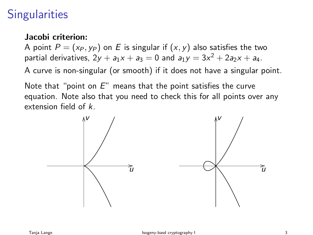# **Singularities**

#### Jacobi criterion:

A point  $P = (x_P, y_P)$  on E is singular if  $(x, y)$  also satisfies the two partial derivatives,  $2y + a_1x + a_3 = 0$  and  $a_1y = 3x^2 + 2a_2x + a_4$ .

A curve is non-singular (or smooth) if it does not have a singular point.

Note that "point on  $E$ " means that the point satisfies the curve equation. Note also that you need to check this for all points over any extension field of k.

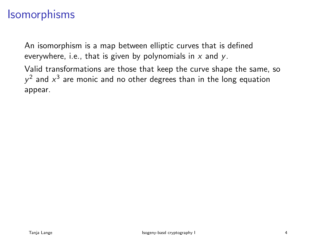## **Isomorphisms**

An isomorphism is a map between elliptic curves that is defined everywhere, i.e., that is given by polynomials in  $x$  and  $y$ .

Valid transformations are those that keep the curve shape the same, so  $y^2$  and  $x^3$  are monic and no other degrees than in the long equation appear.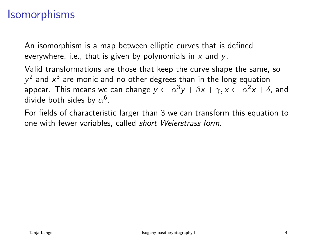## Isomorphisms

An isomorphism is a map between elliptic curves that is defined everywhere, i.e., that is given by polynomials in  $x$  and  $y$ .

Valid transformations are those that keep the curve shape the same, so  $y^2$  and  $x^3$  are monic and no other degrees than in the long equation appear. This means we can change  $y \leftarrow \alpha^3 y + \beta x + \gamma, x \leftarrow \alpha^2 x + \delta,$  and divide both sides by  $\alpha^6.$ 

For fields of characteristic larger than 3 we can transform this equation to one with fewer variables, called short Weierstrass form.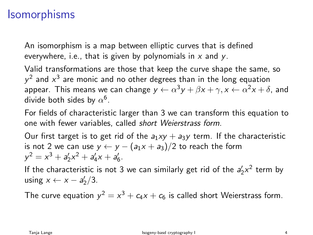## **Isomorphisms**

An isomorphism is a map between elliptic curves that is defined everywhere, i.e., that is given by polynomials in  $x$  and  $y$ .

Valid transformations are those that keep the curve shape the same, so  $y^2$  and  $x^3$  are monic and no other degrees than in the long equation appear. This means we can change  $y \leftarrow \alpha^3 y + \beta x + \gamma, x \leftarrow \alpha^2 x + \delta,$  and divide both sides by  $\alpha^6.$ 

For fields of characteristic larger than 3 we can transform this equation to one with fewer variables, called short Weierstrass form.

Our first target is to get rid of the  $a_1xy + a_3y$  term. If the characteristic is not 2 we can use  $y \leftarrow y - (a_1x + a_3)/2$  to reach the form  $y^2 = x^3 + a'_2x^2 + a'_4x + a'_6.$ 

If the characteristic is not 3 we can similarly get rid of the  $a'_2x^2$  term by using  $x \leftarrow x - a'_2/3$ .

The curve equation  $y^2 = x^3 + c_4x + c_6$  is called short Weierstrass form.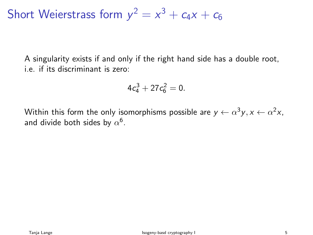Short Weierstrass form  $y^2 = x^3 + c_4x + c_6$ 

A singularity exists if and only if the right hand side has a double root, i.e. if its discriminant is zero:

$$
4c_4^3+27c_6^2=0.
$$

Within this form the only isomorphisms possible are  $y \leftarrow \alpha^3 y, x \leftarrow \alpha^2 x,$ and divide both sides by  $\alpha^6.$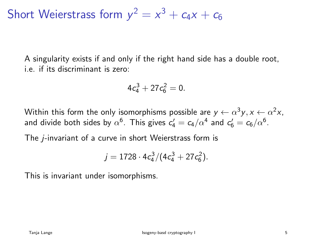Short Weierstrass form  $y^2 = x^3 + c_4x + c_6$ 

A singularity exists if and only if the right hand side has a double root, i.e. if its discriminant is zero:

$$
4c_4^3+27c_6^2=0.
$$

Within this form the only isomorphisms possible are  $y \leftarrow \alpha^3 y, x \leftarrow \alpha^2 x,$ and divide both sides by  $\alpha^6$ . This gives  $\epsilon'_4 = c_4/\alpha^4$  and  $\epsilon'_6 = c_6/\alpha^6$ .

The j-invariant of a curve in short Weierstrass form is

$$
j = 1728 \cdot 4c_4^3/(4c_4^3 + 27c_6^2).
$$

This is invariant under isomorphisms.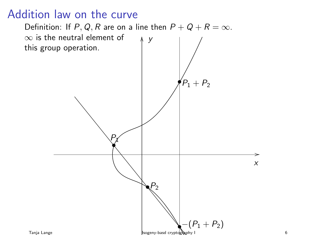# Addition law on the curve

Definition: If P, Q, R are on a line then  $P + Q + R = \infty$ .  $\infty$  is the neutral element of this group operation. • Px  $\blacktriangledown$  $-(P_1 + P_2)$  $P_1 + P_2$ x y OO Tanja Lange **Isogeny-basd cryptography I** 6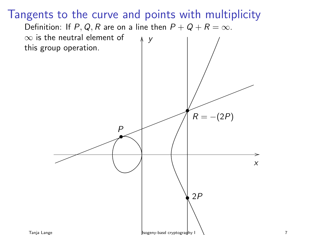